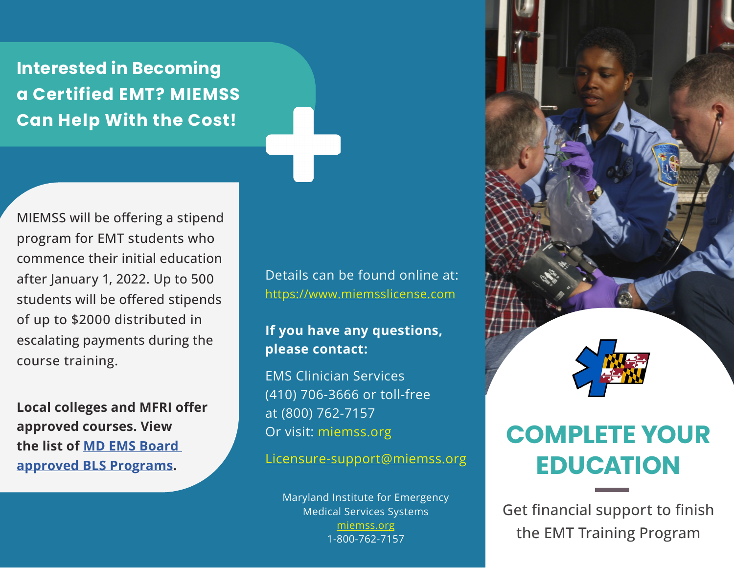**Interested in Becoming a Certified EMT? MIEMSS Can Help With the Cost!**

MIEMSS will be offering a stipend program for EMT students who commence their initial education after January 1, 2022. Up to 500 students will be offered stipends of up to \$2000 distributed in escalating payments during the course training.

**Local colleges and MFRI offer approved courses. View the list of [MD EMS Board](https://www.miemss.org/home/Portals/0/Docs/EducationCert/BLS-Programs.pdf?ver=2015-12-18-140642-867)  [approved BLS Programs.](https://www.miemss.org/home/Portals/0/Docs/EducationCert/BLS-Programs.pdf?ver=2015-12-18-140642-867)**

Details can be found online at: [https://www.miemsslicense.com](https://www.miemsslicense.com )

## **If you have any questions, please contact:**

EMS Clinician Services (410) 706-3666 or toll-free at (800) 762-7157 Or visit: [miemss.org](https://miemss.org)

Licensure-support@miemss.org

Maryland Institute for Emergency Medical Services Systems [miemss.org](https://miemss.org ) 1-800-762-7157



## **COMPLETE YOUR EDUCATION**

Get financial support to finish the EMT Training Program